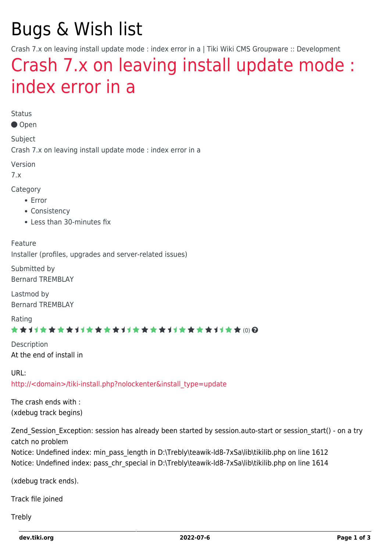# Bugs & Wish list

Crash 7.x on leaving install update mode : index error in a | Tiki Wiki CMS Groupware :: Development

## [Crash 7.x on leaving install update mode :](https://dev.tiki.org/item3745-Crash-7-x-on-leaving-install-update-mode-index-error-in-a) [index error in a](https://dev.tiki.org/item3745-Crash-7-x-on-leaving-install-update-mode-index-error-in-a)

Status

Open

Subject

Crash 7.x on leaving install update mode : index error in a

Version

7.x

Category

- Error
- Consistency
- Less than 30-minutes fix

Feature

Installer (profiles, upgrades and server-related issues)

Submitted by Bernard TREMBLAY

Lastmod by Bernard TREMBLAY

Rating

#### (0)

Description At the end of install in

URL: [http://<domain>/tiki-install.php?nolockenter&install\\_type=update](http://<domain>/tiki-install.php?nolockenter&install_type=update)

The crash ends with : (xdebug track begins)

Zend Session Exception: session has already been started by session.auto-start or session start() - on a try catch no problem

Notice: Undefined index: min\_pass\_length in D:\Trebly\teawik-ld8-7xSa\lib\tikilib.php on line 1612 Notice: Undefined index: pass\_chr\_special in D:\Trebly\teawik-ld8-7xSa\lib\tikilib.php on line 1614

(xdebug track ends).

Track file joined

**Trebly**